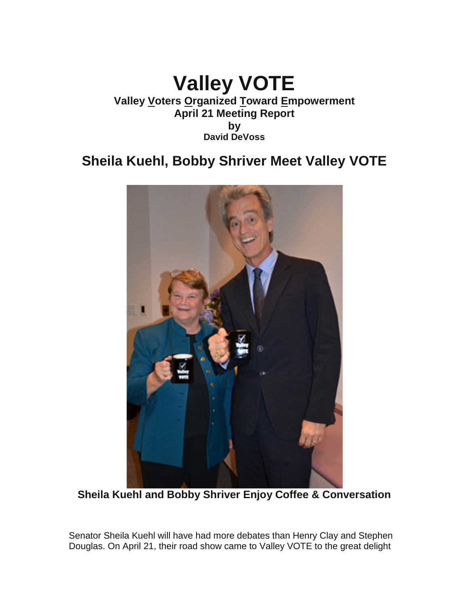## **Valley VOTE Valley Voters Organized Toward Empowerment April 21 Meeting Report by David DeVoss**

# **Sheila Kuehl, Bobby Shriver Meet Valley VOTE**



**Sheila Kuehl and Bobby Shriver Enjoy Coffee & Conversation**

Senator Sheila Kuehl will have had more debates than Henry Clay and Stephen Douglas. On April 21, their road show came to Valley VOTE to the great delight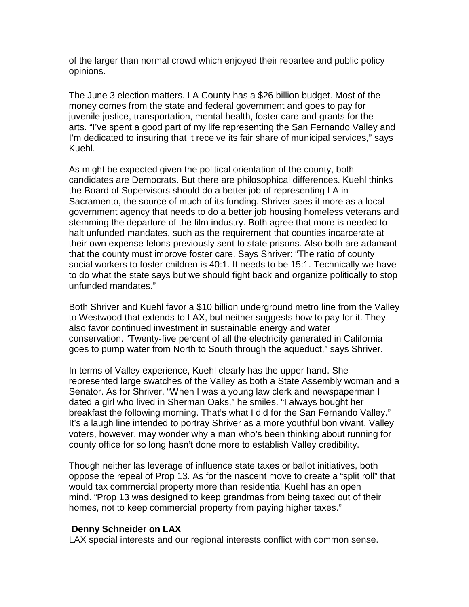of the larger than normal crowd which enjoyed their repartee and public policy opinions.

The June 3 election matters. LA County has a \$26 billion budget. Most of the money comes from the state and federal government and goes to pay for juvenile justice, transportation, mental health, foster care and grants for the arts. "I've spent a good part of my life representing the San Fernando Valley and I'm dedicated to insuring that it receive its fair share of municipal services," says Kuehl.

As might be expected given the political orientation of the county, both candidates are Democrats. But there are philosophical differences. Kuehl thinks the Board of Supervisors should do a better job of representing LA in Sacramento, the source of much of its funding. Shriver sees it more as a local government agency that needs to do a better job housing homeless veterans and stemming the departure of the film industry. Both agree that more is needed to halt unfunded mandates, such as the requirement that counties incarcerate at their own expense felons previously sent to state prisons. Also both are adamant that the county must improve foster care. Says Shriver: "The ratio of county social workers to foster children is 40:1. It needs to be 15:1. Technically we have to do what the state says but we should fight back and organize politically to stop unfunded mandates."

Both Shriver and Kuehl favor a \$10 billion underground metro line from the Valley to Westwood that extends to LAX, but neither suggests how to pay for it. They also favor continued investment in sustainable energy and water conservation. "Twenty-five percent of all the electricity generated in California goes to pump water from North to South through the aqueduct," says Shriver.

In terms of Valley experience, Kuehl clearly has the upper hand. She represented large swatches of the Valley as both a State Assembly woman and a Senator. As for Shriver, "When I was a young law clerk and newspaperman I dated a girl who lived in Sherman Oaks," he smiles. "I always bought her breakfast the following morning. That's what I did for the San Fernando Valley." It's a laugh line intended to portray Shriver as a more youthful bon vivant. Valley voters, however, may wonder why a man who's been thinking about running for county office for so long hasn't done more to establish Valley credibility.

Though neither las leverage of influence state taxes or ballot initiatives, both oppose the repeal of Prop 13. As for the nascent move to create a "split roll" that would tax commercial property more than residential Kuehl has an open mind. "Prop 13 was designed to keep grandmas from being taxed out of their homes, not to keep commercial property from paying higher taxes."

## **Denny Schneider on LAX**

LAX special interests and our regional interests conflict with common sense.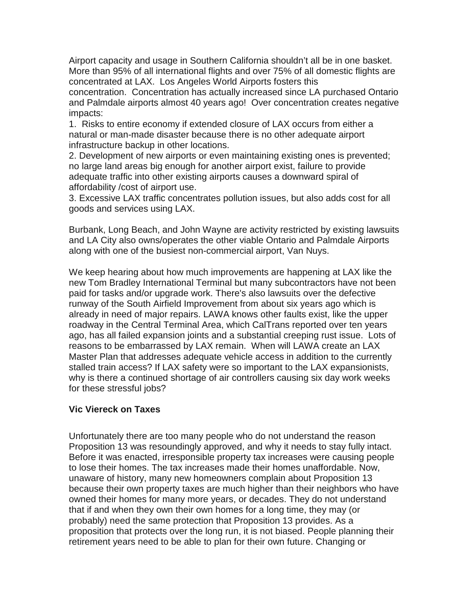Airport capacity and usage in Southern California shouldn't all be in one basket. More than 95% of all international flights and over 75% of all domestic flights are concentrated at LAX. Los Angeles World Airports fosters this

concentration. Concentration has actually increased since LA purchased Ontario and Palmdale airports almost 40 years ago! Over concentration creates negative impacts:

1. Risks to entire economy if extended closure of LAX occurs from either a natural or man-made disaster because there is no other adequate airport infrastructure backup in other locations.

2. Development of new airports or even maintaining existing ones is prevented; no large land areas big enough for another airport exist, failure to provide adequate traffic into other existing airports causes a downward spiral of affordability /cost of airport use.

3. Excessive LAX traffic concentrates pollution issues, but also adds cost for all goods and services using LAX.

Burbank, Long Beach, and John Wayne are activity restricted by existing lawsuits and LA City also owns/operates the other viable Ontario and Palmdale Airports along with one of the busiest non-commercial airport, Van Nuys.

We keep hearing about how much improvements are happening at LAX like the new Tom Bradley International Terminal but many subcontractors have not been paid for tasks and/or upgrade work. There's also lawsuits over the defective runway of the South Airfield Improvement from about six years ago which is already in need of major repairs. LAWA knows other faults exist, like the upper roadway in the Central Terminal Area, which CalTrans reported over ten years ago, has all failed expansion joints and a substantial creeping rust issue. Lots of reasons to be embarrassed by LAX remain. When will LAWA create an LAX Master Plan that addresses adequate vehicle access in addition to the currently stalled train access? If LAX safety were so important to the LAX expansionists, why is there a continued shortage of air controllers causing six day work weeks for these stressful jobs?

## **Vic Viereck on Taxes**

Unfortunately there are too many people who do not understand the reason Proposition 13 was resoundingly approved, and why it needs to stay fully intact. Before it was enacted, irresponsible property tax increases were causing people to lose their homes. The tax increases made their homes unaffordable. Now, unaware of history, many new homeowners complain about Proposition 13 because their own property taxes are much higher than their neighbors who have owned their homes for many more years, or decades. They do not understand that if and when they own their own homes for a long time, they may (or probably) need the same protection that Proposition 13 provides. As a proposition that protects over the long run, it is not biased. People planning their retirement years need to be able to plan for their own future. Changing or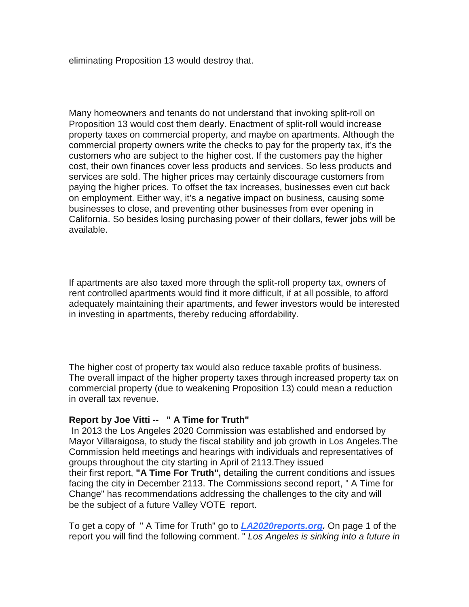eliminating Proposition 13 would destroy that.

Many homeowners and tenants do not understand that invoking split-roll on Proposition 13 would cost them dearly. Enactment of split-roll would increase property taxes on commercial property, and maybe on apartments. Although the commercial property owners write the checks to pay for the property tax, it's the customers who are subject to the higher cost. If the customers pay the higher cost, their own finances cover less products and services. So less products and services are sold. The higher prices may certainly discourage customers from paying the higher prices. To offset the tax increases, businesses even cut back on employment. Either way, it's a negative impact on business, causing some businesses to close, and preventing other businesses from ever opening in California. So besides losing purchasing power of their dollars, fewer jobs will be available.

If apartments are also taxed more through the split-roll property tax, owners of rent controlled apartments would find it more difficult, if at all possible, to afford adequately maintaining their apartments, and fewer investors would be interested in investing in apartments, thereby reducing affordability.

The higher cost of property tax would also reduce taxable profits of business. The overall impact of the higher property taxes through increased property tax on commercial property (due to weakening Proposition 13) could mean a reduction in overall tax revenue.

## **Report by Joe Vitti -- " A Time for Truth"**

In 2013 the Los Angeles 2020 Commission was established and endorsed by Mayor Villaraigosa, to study the fiscal stability and job growth in Los Angeles.The Commission held meetings and hearings with individuals and representatives of groups throughout the city starting in April of 2113.They issued their first report, **"A Time For Truth",** detailing the current conditions and issues facing the city in December 2113. The Commissions second report, " A Time for Change" has recommendations addressing the challenges to the city and will be the subject of a future Valley VOTE report.

To get a copy of " A Time for Truth" go to *[LA2020reports.org.](http://la2020reports.org/)* On page 1 of the report you will find the following comment. " *Los Angeles is sinking into a future in*